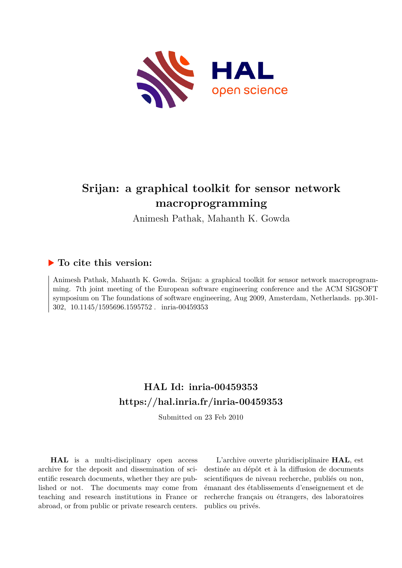

# **Srijan: a graphical toolkit for sensor network macroprogramming**

Animesh Pathak, Mahanth K. Gowda

## **To cite this version:**

Animesh Pathak, Mahanth K. Gowda. Srijan: a graphical toolkit for sensor network macroprogramming. 7th joint meeting of the European software engineering conference and the ACM SIGSOFT symposium on The foundations of software engineering, Aug 2009, Amsterdam, Netherlands. pp.301- 302, 10.1145/1595696.1595752. inria-00459353

# **HAL Id: inria-00459353 <https://hal.inria.fr/inria-00459353>**

Submitted on 23 Feb 2010

**HAL** is a multi-disciplinary open access archive for the deposit and dissemination of scientific research documents, whether they are published or not. The documents may come from teaching and research institutions in France or abroad, or from public or private research centers.

L'archive ouverte pluridisciplinaire **HAL**, est destinée au dépôt et à la diffusion de documents scientifiques de niveau recherche, publiés ou non, émanant des établissements d'enseignement et de recherche français ou étrangers, des laboratoires publics ou privés.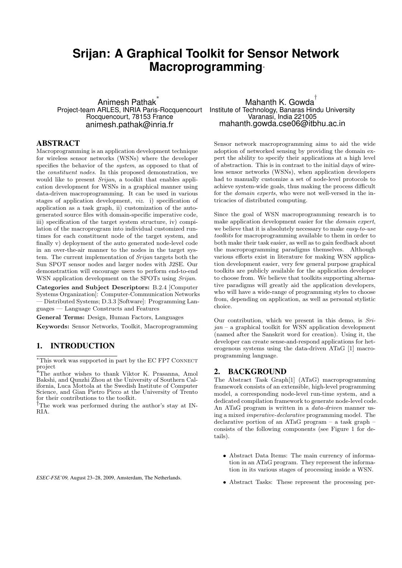# **Srijan: A Graphical Toolkit for Sensor Network Macroprogramming**<sup>∗</sup>

Animesh Pathak ∗ Project-team ARLES, INRIA Paris-Rocquencourt Rocquencourt, 78153 France animesh.pathak@inria.fr

### ABSTRACT

Macroprogramming is an application development technique for wireless sensor networks (WSNs) where the developer specifies the behavior of the system, as opposed to that of the constituent nodes. In this proposed demonstration, we would like to present *Srijan*, a toolkit that enables application development for WSNs in a graphical manner using data-driven macroprogramming. It can be used in various stages of application development, viz. i) specification of application as a task graph, ii) customization of the autogenerated source files with domain-specific imperative code, iii) specification of the target system structure, iv) compilation of the macroprogram into individual customized runtimes for each constituent node of the target system, and finally v) deployment of the auto generated node-level code in an over-the-air manner to the nodes in the target system. The current implementation of Srijan targets both the Sun SPOT sensor nodes and larger nodes with J2SE. Our demonstrattion will encourage users to perform end-to-end WSN application development on the SPOTs using *Srijan*.

Categories and Subject Descriptors: B.2.4 [Computer Systems Organization]: Computer-Communication Networks — Distributed Systems; D.3.3 [Software]: Programming Languages — Language Constructs and Features

General Terms: Design, Human Factors, Languages

Keywords: Sensor Networks, Toolkit, Macroprogramming

### 1. INTRODUCTION

<sup>∗</sup>The author wishes to thank Viktor K. Prasanna, Amol Bakshi, and Qunzhi Zhou at the University of Southern California, Luca Mottola at the Swedish Institute of Computer Science, and Gian Pietro Picco at the University of Trento for their contributions to the toolkit.

†The work was performed during the author's stay at IN-RIA.

*ESEC-FSE'09,* August 23–28, 2009, Amsterdam, The Netherlands.

Mahanth K. Gowda $^{\dagger}$ Institute of Technology, Banaras Hindu University Varanasi, India 221005 mahanth.gowda.cse06@itbhu.ac.in

Sensor network macroprogramming aims to aid the wide adoption of networked sensing by providing the domain expert the ability to specify their applications at a high level of abstraction. This is in contrast to the initial days of wireless sensor networks (WSNs), when application developers had to manually customize a set of node-level protocols to achieve system-wide goals, thus making the process difficult for the domain experts, who were not well-versed in the intricacies of distributed computing.

Since the goal of WSN macroprogramming research is to make application development easier for the domain expert, we believe that it is absolutely necessary to make easy-to-use toolkits for macroprogramming available to them in order to both make their task easier, as well as to gain feedback about the macroprogramming paradigms themselves. Although various efforts exist in literature for making WSN application development easier, very few general purpose graphical toolkits are publicly available for the application developer to choose from. We believe that toolkits supporting alternative paradigms will greatly aid the application developers, who will have a wide-range of programming styles to choose from, depending on application, as well as personal stylistic choice.

Our contribution, which we present in this demo, is  $Sri$  $jan - a$  graphical toolkit for WSN application development (named after the Sanskrit word for creation). Using it, the developer can create sense-and-respond applications for heterogenous systems using the data-driven ATaG [1] macroprogramming language.

### 2. BACKGROUND

The Abstract Task Graph[1] (ATaG) macroprogramming framework consists of an extensible, high-level programming model, a corresponding node-level run-time system, and a dedicated compilation framework to generate node-level code. An ATaG program is written in a data-driven manner using a mixed imperative-declarative programming model. The declarative portion of an ATaG program – a task graph – consists of the following components (see Figure 1 for details).

- Abstract Data Items: The main currency of information in an ATaG program. They represent the information in its various stages of processing inside a WSN.
- Abstract Tasks: These represent the processing per-

<sup>∗</sup>This work was supported in part by the EC FP7 Connect project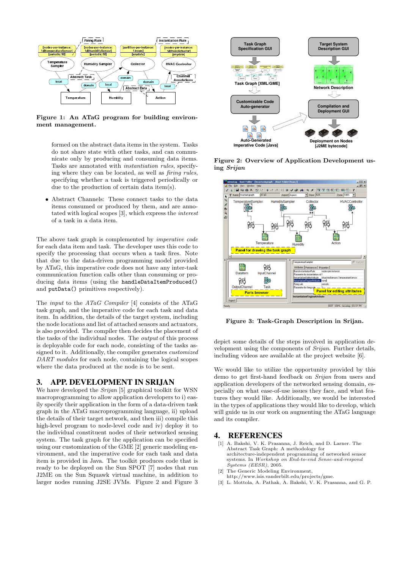

Figure 1: An ATaG program for building environment management.

formed on the abstract data items in the system. Tasks do not share state with other tasks, and can communicate only by producing and consuming data items. Tasks are annotated with instantiation rules, specifying where they can be located, as well as firing rules, specifying whether a task is triggered periodically or due to the production of certain data item(s).

• Abstract Channels: These connect tasks to the data items consumed or produced by them, and are annotated with logical scopes [3], which express the interest of a task in a data item.

The above task graph is complemented by imperative code for each data item and task. The developer uses this code to specify the processing that occurs when a task fires. Note that due to the data-driven programming model provided by ATaG, this imperative code does not have any inter-task communication function calls other than consuming or producing data items (using the handleDataItemProduced() and putData() primitives respectively).

The input to the ATaG Compiler [4] consists of the ATaG task graph, and the imperative code for each task and data item. In addition, the details of the target system, including the node locations and list of attached sensors and actuators, is also provided. The compiler then decides the placement of the tasks of the individual nodes. The output of this process is deployable code for each node, consisting of the tasks assigned to it. Additionally, the compiler generates customized DART modules for each node, containing the logical scopes where the data produced at the node is to be sent.

### 3. APP. DEVELOPMENT IN SRIJAN

We have developed the *Srijan* [5] graphical toolkit for WSN macroprogramming to allow application developers to i) easily specify their application in the form of a data-driven task graph in the ATaG macroprogramming language, ii) upload the details of their target network, and then iii) compile this high-level program to node-level code and iv) deploy it to the individual constituent nodes of their networked sensing system. The task graph for the application can be specified using our customization of the GME [2] generic modeling environment, and the imperative code for each task and data item is provided in Java. The toolkit produces code that is ready to be deployed on the Sun SPOT [7] nodes that run J2ME on the Sun Squawk virtual machine, in addition to larger nodes running J2SE JVMs. Figure 2 and Figure 3



Figure 2: Overview of Application Development using Srijan



Figure 3: Task-Graph Description in Srijan.

depict some details of the steps involved in application development using the components of Srijan. Further details, including videos are available at the project website [6].

We would like to utilize the opportunity provided by this demo to get first-hand feedback on Srijan from users and application developers of the networked sensing domain, especially on what ease-of-use issues they face, and what features they would like. Additionally, we would be interested in the types of applications they would like to develop, which will guide us in our work on augmenting the ATaG language and its compiler.

#### 4. REFERENCES

- [1] A. Bakshi, V. K. Prasanna, J. Reich, and D. Larner. The Abstract Task Graph: A methodology for architecture-independent programming of networked sensor systems. In Workshop on End-to-end Sense-and-respond Systems (EESR), 2005.
- [2] The Generic Modeling Environment,
- http://www.isis.vanderbilt.edu/projects/gme.
- [3] L. Mottola, A. Pathak, A. Bakshi, V. K. Prasanna, and G. P.